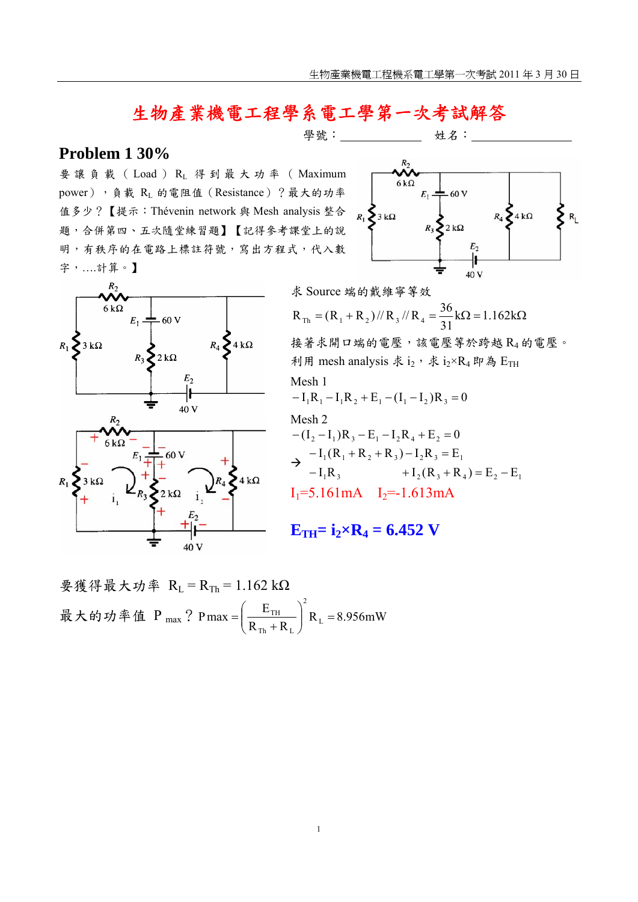# 生物產業機電工程學系電工學第一次考試解答

### **Problem 1 30%**

要讓負載( Load ) RL 得到最大功率( Maximum power),負載 RL 的電阻值 (Resistance)?最大的功率 值多少?【提示:Thévenin network 與 Mesh analysis 整合 題,合併第四、五次隨堂練習題】【記得參考課堂上的說 明,有秩序的在電路上標註符號,寫出方程式,代入數 字,….計算。】





$$
|\nexists \mathbf{S} \text{Source } \nexists \mathbf{M} \text{ is the } \mathbf{M} \text{ and } \mathbf{M} \text{ and } \mathbf{M} \text{ is the } \mathbf{M} \text{ and } \mathbf{M} \text{ and } \mathbf{M} \text{ is the } \mathbf{M} \text{ and } \mathbf{M} \text{ is the } \mathbf{M} \text{ and } \mathbf{M} \text{ and } \mathbf{M} \text{ is the } \mathbf{M} \text{ and } \mathbf{M} \text{ and } \mathbf{M} \text{ is the } \mathbf{M} \text{ and } \mathbf{M} \text{ and } \mathbf{M} \text{ is the } \mathbf{M} \text{ and } \mathbf{M} \text{ and } \mathbf{M} \text{ is the } \mathbf{M} \text{ and } \mathbf{M} \text{ and } \mathbf{M} \text{ is the } \mathbf{M} \text{ and } \mathbf{M} \text{ and } \mathbf{M} \text{ is the } \mathbf{M} \text{ and } \mathbf{M} \text{ and } \mathbf{M} \text{ is the } \mathbf{M} \text{ and } \mathbf{M} \text{ and } \mathbf{M} \text{ is the } \mathbf{M} \text{ and } \mathbf{M} \text{ and } \mathbf{M} \text{ is the } \mathbf{M} \text{ and } \mathbf{M} \text{ and } \mathbf{M} \text{ is the } \mathbf{M} \text{ and } \mathbf{M} \text{ and } \mathbf{M} \text{ is the } \mathbf{M} \text{ and } \mathbf{M} \text{ and } \mathbf{M} \text{ is the } \mathbf{M} \text{ and } \mathbf{M} \text{ and } \mathbf{M} \text{ is the } \mathbf{M} \text{ and } \mathbf{M} \text{ and } \mathbf{M} \text{ is the } \mathbf{M} \text{ and } \mathbf{M} \text{ and } \mathbf{M} \text{ is the } \mathbf{M} \text{ and } \mathbf{M} \text{ is the } \mathbf{M} \text{ and } \mathbf{M} \text{ and } \mathbf{M} \text{ is the } \mathbf{M} \text{ and } \mathbf{M} \text{ and } \mathbf{M} \text{ is the } \mathbf{M} \text{ and } \mathbf{M} \text{ and } \mathbf{M} \text{ is the } \math
$$

$$
\mathbf{E}_{\mathrm{TH}} = \mathbf{i}_2 \times \mathbf{R}_4 = 6.452 \text{ V}
$$

$$
要後得最大均率 RL = RTh = 1.162 kΩ
$$
  
最大的均率値 P<sub>max</sub>? P<sub>max</sub> =  $\left(\frac{E_{TH}}{R_{Th} + R_{L}}\right)^{2} R_{L} = 8.956 mW$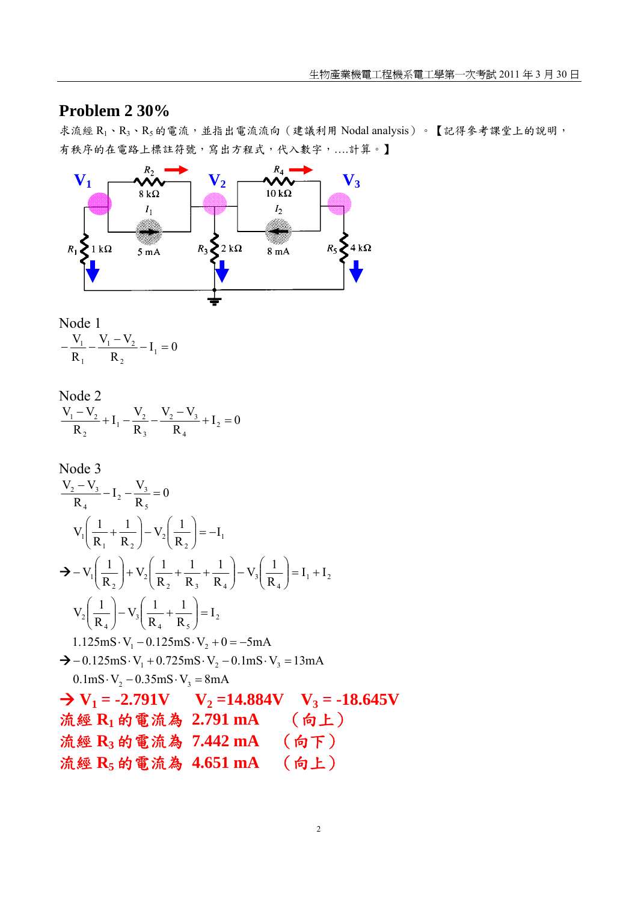## **Problem 2 30%**

求流經  $R_1 \cdot R_3 \cdot R_5$ 的電流,並指出電流流向 (建議利用 Nodal analysis)。【記得參考課堂上的說明, 有秩序的在電路上標註符號,寫出方程式,代入數字,...計算。】



Node 1  

$$
-\frac{V_1}{R_1} - \frac{V_1 - V_2}{R_2} - I_1 = 0
$$

Node 2  
\n
$$
\frac{V_1 - V_2}{R_2} + I_1 - \frac{V_2}{R_3} - \frac{V_2 - V_3}{R_4} + I_2 = 0
$$

Node 3  
\n
$$
\frac{V_2 - V_3}{R_4} - I_2 - \frac{V_3}{R_5} = 0
$$
\n
$$
V_1 \left( \frac{1}{R_1} + \frac{1}{R_2} \right) - V_2 \left( \frac{1}{R_2} \right) = -I_1
$$
\n
$$
\Rightarrow -V_1 \left( \frac{1}{R_2} \right) + V_2 \left( \frac{1}{R_2} + \frac{1}{R_3} + \frac{1}{R_4} \right) - V_3 \left( \frac{1}{R_4} \right) = I_1 + I_2
$$
\n
$$
V_2 \left( \frac{1}{R_4} \right) - V_3 \left( \frac{1}{R_4} + \frac{1}{R_5} \right) = I_2
$$
\n1.125mS·V<sub>1</sub> − 0.125mS·V<sub>2</sub> + 0 = −5mA  
\n⇒ −0.125mS·V<sub>1</sub> + 0.725mS·V<sub>2</sub> − 0.1mS·V<sub>3</sub> = 13mA  
\n0.1mS·V<sub>2</sub> − 0.35mS·V<sub>3</sub> = 8mA  
\n⇒ **V**<sub>1</sub> = −2.791V   **V**<sub>2</sub> =14.884V   **V**<sub>3</sub> = −18.645V  
\n**ત \*, % R**<sub>1</sub> **é h ® h h ® h h W**<sub>3</sub> = 0.18.645V  
\n**h h W W**<sub>3</sub> **W**<sub>4</sub> = 0.1442 mA   **h W W W W W W W W W W W W W W W W**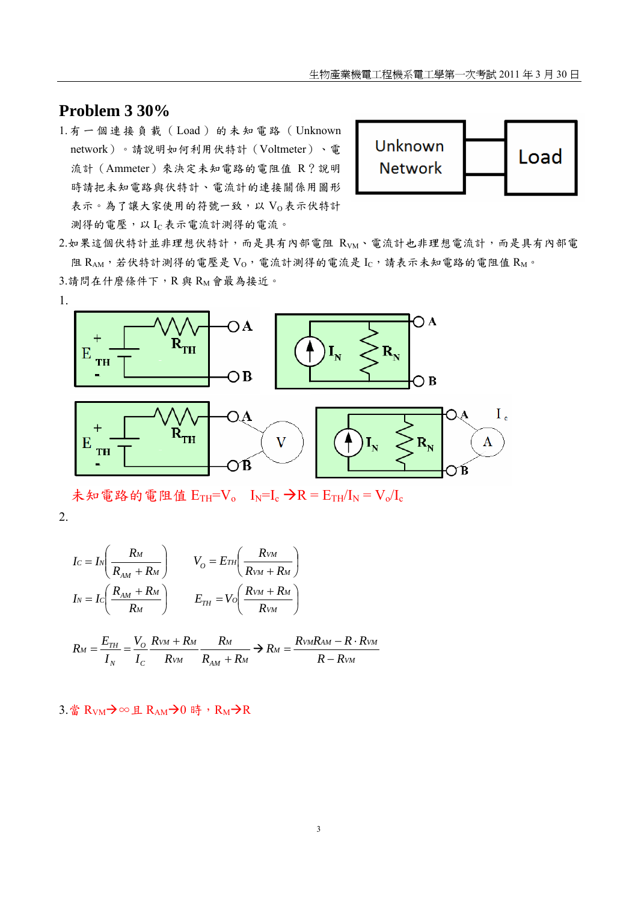### **Problem 3 30%**

1. 有一個連接負載 (Load) 的未知電路 (Unknown network)。請說明如何利用伏特計(Voltmeter)、電 流計(Ammeter)來決定未知電路的電阻值 R?說明 時請把未知電路與伏特計、電流計的連接關係用圖形 表示。為了讓大家使用的符號一致,以 Vo表示伏特計 測得的電壓,以 IC表示電流計測得的電流。



2.如果這個伏特計並非理想伏特計,而是具有內部電阻 RvM、電流計也非理想電流計,而是具有內部電 阻  $R_{AM}$ ,若伏特計測得的電壓是  $V_0$ , 電流計測得的電流是  $I_C$ , 請表示未知電路的電阻值  $R_M$ 。 3.請問在什麼條件下,R與 RM會最為接近。



未知電路的電阻值  $E_{TH} = V_o$   $I_N = I_c$   $\rightarrow$   $R = E_{TH}/I_N = V_o/I_c$ 

2.

$$
I_C = I_N \left(\frac{R_M}{R_{AM} + R_M}\right) \qquad V_O = E_{TH} \left(\frac{R_{VM}}{R_{VM} + R_M}\right)
$$

$$
I_N = I_C \left(\frac{R_{AM} + R_M}{R_M}\right) \qquad E_{TH} = V_O \left(\frac{R_{VM} + R_M}{R_{VM}}\right)
$$

$$
R_M = \frac{E_{TH}}{I_N} = \frac{V_O}{I_C} \frac{R_{VM} + R_M}{R_{VM}} \frac{R_M}{R_{AM} + R_M} \Rightarrow R_M = \frac{R_{VM}R_{AM} - R \cdot R_{VM}}{R - R_{VM}}
$$

3.當  $R_{VM}$  → ∞ 且  $R_{AM}$  → 0 時,  $R_M$  →  $R$